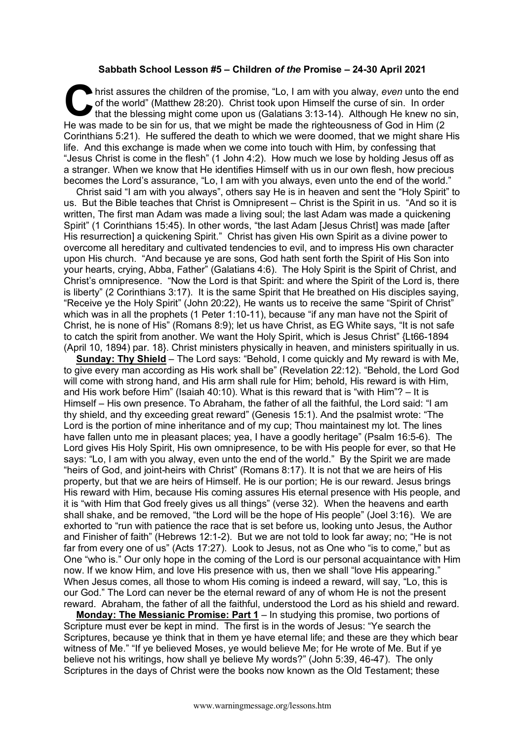## **Sabbath School Lesson #5 – Children** *of the* **Promise – 24-30 April 2021**

hrist assures the children of the promise, "Lo, I am with you alway, *even* unto the end of the world" (Matthew 28:20). Christ took upon Himself the curse of sin. In order that the blessing might come upon us (Galatians 3: of the world" (Matthew 28:20). Christ took upon Himself the curse of sin. In order that the blessing might come upon us (Galatians 3:13-14). Although He knew no sin, He was made to be sin for us, that we might be made the righteousness of God in Him (2 Corinthians 5:21). He suffered the death to which we were doomed, that we might share His life. And this exchange is made when we come into touch with Him, by confessing that "Jesus Christ is come in the flesh" (1 John 4:2). How much we lose by holding Jesus off as a stranger. When we know that He identifies Himself with us in our own flesh, how precious becomes the Lord's assurance, "Lo, I am with you always, even unto the end of the world."

Christ said "I am with you always", others say He is in heaven and sent the "Holy Spirit" to us. But the Bible teaches that Christ is Omnipresent – Christ is the Spirit in us. "And so it is written, The first man Adam was made a living soul; the last Adam was made a quickening Spirit" (1 Corinthians 15:45). In other words, "the last Adam [Jesus Christ] was made [after His resurrection] a quickening Spirit." Christ has given His own Spirit as a divine power to overcome all hereditary and cultivated tendencies to evil, and to impress His own character upon His church. "And because ye are sons, God hath sent forth the Spirit of His Son into your hearts, crying, Abba, Father" (Galatians 4:6). The Holy Spirit is the Spirit of Christ, and Christ's omnipresence. "Now the Lord is that Spirit: and where the Spirit of the Lord is, there is liberty" (2 Corinthians 3:17). It is the same Spirit that He breathed on His disciples saying, "Receive ye the Holy Spirit" (John 20:22), He wants us to receive the same "Spirit of Christ" which was in all the prophets (1 Peter 1:10-11), because "if any man have not the Spirit of Christ, he is none of His" (Romans 8:9); let us have Christ, as EG White says, "It is not safe to catch the spirit from another. We want the Holy Spirit, which is Jesus Christ" {Lt66-1894 (April 10, 1894) par. 18}. Christ ministers physically in heaven, and ministers spiritually in us.

**Sunday: Thy Shield** – The Lord says: "Behold, I come quickly and My reward is with Me, to give every man according as His work shall be" (Revelation 22:12). "Behold, the Lord God will come with strong hand, and His arm shall rule for Him; behold, His reward is with Him, and His work before Him" (Isaiah 40:10). What is this reward that is "with Him"? – It is Himself – His own presence. To Abraham, the father of all the faithful, the Lord said: "I am thy shield, and thy exceeding great reward" (Genesis 15:1). And the psalmist wrote: "The Lord is the portion of mine inheritance and of my cup; Thou maintainest my lot. The lines have fallen unto me in pleasant places; yea, I have a goodly heritage" (Psalm 16:5-6). The Lord gives His Holy Spirit, His own omnipresence, to be with His people for ever, so that He says: "Lo, I am with you alway, even unto the end of the world." By the Spirit we are made "heirs of God, and joint-heirs with Christ" (Romans 8:17). It is not that we are heirs of His property, but that we are heirs of Himself. He is our portion; He is our reward. Jesus brings His reward with Him, because His coming assures His eternal presence with His people, and it is "with Him that God freely gives us all things" (verse 32). When the heavens and earth shall shake, and be removed, "the Lord will be the hope of His people" (Joel 3:16). We are exhorted to "run with patience the race that is set before us, looking unto Jesus, the Author and Finisher of faith" (Hebrews 12:1-2). But we are not told to look far away; no; "He is not far from every one of us" (Acts 17:27). Look to Jesus, not as One who "is to come," but as One "who is." Our only hope in the coming of the Lord is our personal acquaintance with Him now. If we know Him, and love His presence with us, then we shall "love His appearing." When Jesus comes, all those to whom His coming is indeed a reward, will say, "Lo, this is our God." The Lord can never be the eternal reward of any of whom He is not the present reward. Abraham, the father of all the faithful, understood the Lord as his shield and reward.

**Monday: The Messianic Promise: Part 1** – In studying this promise, two portions of Scripture must ever be kept in mind. The first is in the words of Jesus: "Ye search the Scriptures, because ye think that in them ye have eternal life; and these are they which bear witness of Me." "If ye believed Moses, ye would believe Me; for He wrote of Me. But if ye believe not his writings, how shall ye believe My words?" (John 5:39, 46-47). The only Scriptures in the days of Christ were the books now known as the Old Testament; these